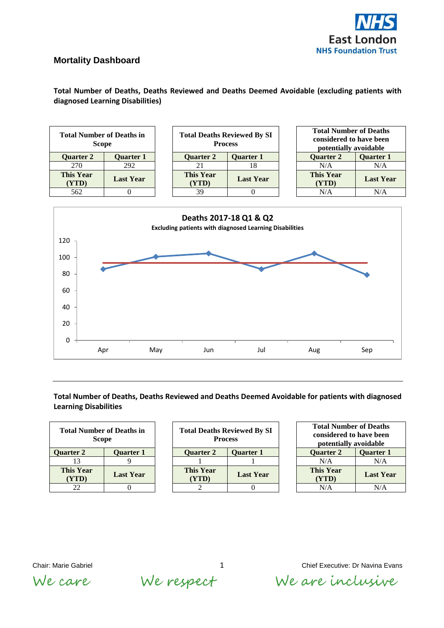

## **Mortality Dashboard**

**Total Number of Deaths, Deaths Reviewed and Deaths Deemed Avoidable (excluding patients with diagnosed Learning Disabilities)**

| <b>Total Number of Deaths in</b><br><b>Scope</b> |                  | <b>Total Deaths Reviewed By SI</b><br><b>Process</b> |                           | <b>Total Number of Deaths</b><br>considered to have been<br>potentially avoidable |                           |                  |
|--------------------------------------------------|------------------|------------------------------------------------------|---------------------------|-----------------------------------------------------------------------------------|---------------------------|------------------|
| <b>Ouarter 2</b>                                 | <b>Ouarter 1</b> |                                                      | <b>Ouarter 2</b>          | <b>Quarter 1</b>                                                                  | <b>Ouarter 2</b>          | <b>Ouarter 1</b> |
| 270                                              | 292              |                                                      | 21                        | 18                                                                                | N/A                       | N/A              |
| <b>This Year</b><br>(YTD)                        | <b>Last Year</b> |                                                      | <b>This Year</b><br>(YTD) | <b>Last Year</b>                                                                  | <b>This Year</b><br>(YTD) | <b>Last Year</b> |
| 562                                              | 0                |                                                      | 39                        |                                                                                   | N/A                       | N/A              |
|                                                  |                  |                                                      |                           | Deaths 2017-18 01 & 02                                                            |                           |                  |



## **Total Number of Deaths, Deaths Reviewed and Deaths Deemed Avoidable for patients with diagnosed Learning Disabilities**

| <b>Total Number of Deaths in</b><br><b>Scope</b> | <b>Total Death</b> |                           |
|--------------------------------------------------|--------------------|---------------------------|
| <b>Ouarter 2</b>                                 | <b>Ouarter 1</b>   | <b>Ouarter 2</b>          |
| 13                                               |                    |                           |
| <b>This Year</b><br>(YTD)                        | <b>Last Year</b>   | <b>This Year</b><br>(YTD) |
| 77                                               |                    |                           |

| <b>Total Number of Deaths in</b><br><b>Scope</b> |                  | <b>Total Deaths Reviewed By SI</b><br><b>Process</b> |                  |  | <b>Total Number of Deaths</b><br>considered to have been<br>potentially avoidable |                  |  |
|--------------------------------------------------|------------------|------------------------------------------------------|------------------|--|-----------------------------------------------------------------------------------|------------------|--|
| <b>Quarter 2</b>                                 | <b>Quarter 1</b> | <b>Quarter 2</b>                                     | <b>Ouarter 1</b> |  | <b>Ouarter 2</b>                                                                  | <b>Quarter 1</b> |  |
|                                                  |                  |                                                      |                  |  | N/A                                                                               | N/A              |  |
| <b>This Year</b><br>(YTD)                        | <b>Last Year</b> | <b>This Year</b><br>(YTD)                            | <b>Last Year</b> |  | <b>This Year</b><br>(YTD)                                                         | <b>Last Yea</b>  |  |
| 22                                               |                  |                                                      |                  |  | N/A                                                                               | N/A              |  |

| <b>Total Number of Deaths</b><br>considered to have been<br>potentially avoidable |                  |  |  |
|-----------------------------------------------------------------------------------|------------------|--|--|
| <b>Quarter 2</b>                                                                  | <b>Ouarter 1</b> |  |  |
| N/A                                                                               | N/A              |  |  |
| <b>This Year</b><br>(YTD)                                                         | <b>Last Year</b> |  |  |
| N/A                                                                               | N/A              |  |  |

We care